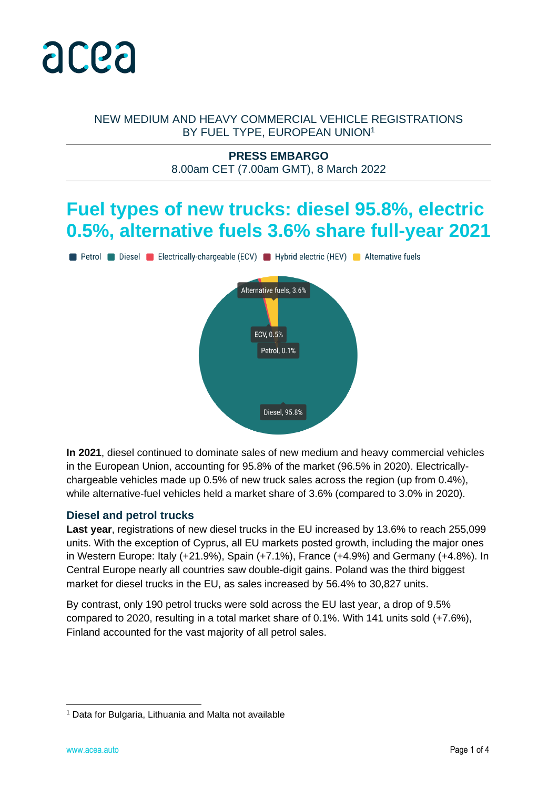

#### NEW MEDIUM AND HEAVY COMMERCIAL VEHICLE REGISTRATIONS BY FUEL TYPE, EUROPEAN UNION<sup>1</sup>

#### **PRESS EMBARGO** 8.00am CET (7.00am GMT), 8 March 2022

## **Fuel types of new trucks: diesel 95.8%, electric 0.5%, alternative fuels 3.6% share full-year 2021**

Petrol Diesel Electrically-chargeable (ECV) Hybrid electric (HEV) Alternative fuels



**In 2021**, diesel continued to dominate sales of new medium and heavy commercial vehicles in the European Union, accounting for 95.8% of the market (96.5% in 2020). Electricallychargeable vehicles made up 0.5% of new truck sales across the region (up from 0.4%), while alternative-fuel vehicles held a market share of 3.6% (compared to 3.0% in 2020).

#### **Diesel and petrol trucks**

**Last year**, registrations of new diesel trucks in the EU increased by 13.6% to reach 255,099 units. With the exception of Cyprus, all EU markets posted growth, including the major ones in Western Europe: Italy (+21.9%), Spain (+7.1%), France (+4.9%) and Germany (+4.8%). In Central Europe nearly all countries saw double-digit gains. Poland was the third biggest market for diesel trucks in the EU, as sales increased by 56.4% to 30,827 units.

By contrast, only 190 petrol trucks were sold across the EU last year, a drop of 9.5% compared to 2020, resulting in a total market share of 0.1%. With 141 units sold (+7.6%), Finland accounted for the vast majority of all petrol sales.

<sup>1</sup> Data for Bulgaria, Lithuania and Malta not available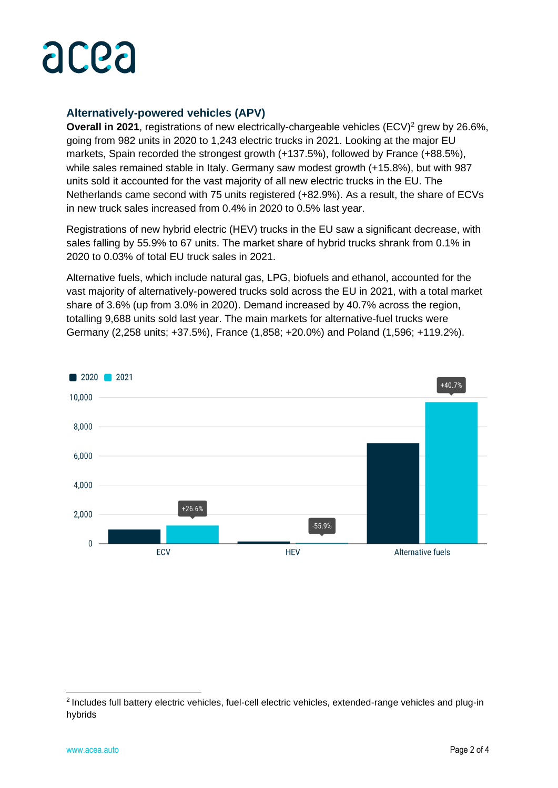## acea

#### **Alternatively-powered vehicles (APV)**

**Overall in 2021**, registrations of new electrically-chargeable vehicles (ECV)<sup>2</sup> grew by 26.6%, going from 982 units in 2020 to 1,243 electric trucks in 2021. Looking at the major EU markets, Spain recorded the strongest growth (+137.5%), followed by France (+88.5%), while sales remained stable in Italy. Germany saw modest growth (+15.8%), but with 987 units sold it accounted for the vast majority of all new electric trucks in the EU. The Netherlands came second with 75 units registered (+82.9%). As a result, the share of ECVs in new truck sales increased from 0.4% in 2020 to 0.5% last year.

Registrations of new hybrid electric (HEV) trucks in the EU saw a significant decrease, with sales falling by 55.9% to 67 units. The market share of hybrid trucks shrank from 0.1% in 2020 to 0.03% of total EU truck sales in 2021.

Alternative fuels, which include natural gas, LPG, biofuels and ethanol, accounted for the vast majority of alternatively-powered trucks sold across the EU in 2021, with a total market share of 3.6% (up from 3.0% in 2020). Demand increased by 40.7% across the region, totalling 9,688 units sold last year. The main markets for alternative-fuel trucks were Germany (2,258 units; +37.5%), France (1,858; +20.0%) and Poland (1,596; +119.2%).



<sup>&</sup>lt;sup>2</sup> Includes full battery electric vehicles, fuel-cell electric vehicles, extended-range vehicles and plug-in hybrids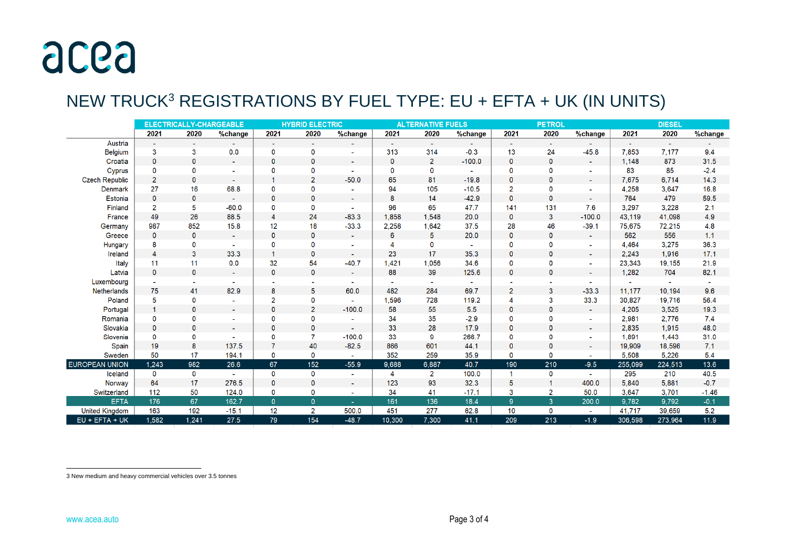## acea

### NEW TRUCK<sup>3</sup> REGISTRATIONS BY FUEL TYPE: EU + EFTA + UK (IN UNITS)

|                       | <b>ELECTRICALLY-CHARGEABLE</b> |              |                       | <b>HYBRID ELECTRIC</b> |                |                          | <b>ALTERNATIVE FUELS</b> |                |          | <b>PETROL</b>  |                |                          | <b>DIESEL</b> |         |         |
|-----------------------|--------------------------------|--------------|-----------------------|------------------------|----------------|--------------------------|--------------------------|----------------|----------|----------------|----------------|--------------------------|---------------|---------|---------|
|                       | 2021                           | 2020         | %change               | 2021                   | 2020           | %change                  | 2021                     | 2020           | %change  | 2021           | 2020           | %change                  | 2021          | 2020    | %change |
| Austria               |                                |              |                       | $\blacksquare$         |                |                          |                          |                |          |                |                |                          |               |         |         |
| <b>Belgium</b>        | 3                              | 3            | 0.0                   | 0                      | 0              | $\blacksquare$           | 313                      | 314            | $-0.3$   | 13             | 24             | $-45.8$                  | 7,853         | 7,177   | 9.4     |
| Croatia               | $\mathbf{0}$                   | $\mathbf{0}$ | $\mathbf{u}^{\prime}$ | $\mathbf 0$            | 0              | $\sim$                   | $\mathbf{0}$             | $\overline{2}$ | $-100.0$ | $\mathbf{0}$   | $\mathbf{0}$   | $\sim$                   | 1.148         | 873     | 31.5    |
| Cyprus                | 0                              | 0            |                       | 0                      | 0              |                          | 0                        | 0              |          | 0              | 0              | $\sim$                   | 83            | 85      | $-2.4$  |
| <b>Czech Republic</b> | $\overline{2}$                 | $\mathbf{0}$ | $\sim$                | 1                      | $\overline{2}$ | $-50.0$                  | 65                       | 81             | $-19.8$  | $\mathbf 0$    | $\mathbf{0}$   | $\blacksquare$           | 7,675         | 6,714   | 14.3    |
| <b>Denmark</b>        | 27                             | 16           | 68.8                  | 0                      | 0              |                          | 94                       | 105            | $-10.5$  | $\overline{c}$ | 0              | ä,                       | 4,258         | 3,647   | 16.8    |
| <b>Estonia</b>        | $\mathbf{0}$                   | $\mathbf{0}$ | $\sim$                | $\mathbf 0$            | 0              | ۰.                       | 8                        | 14             | $-42.9$  | $\mathbf 0$    | $\mathbf{0}$   | ٠                        | 764           | 479     | 59.5    |
| Finland               | $\overline{2}$                 | 5            | $-60.0$               | 0                      | 0              | -                        | 96                       | 65             | 47.7     | 141            | 131            | 7.6                      | 3.297         | 3,228   | 2.1     |
| France                | 49                             | 26           | 88.5                  | 4                      | 24             | $-83.3$                  | 1.858                    | 1.548          | 20.0     | 0              | $\mathbf{3}$   | $-100.0$                 | 43.119        | 41.098  | 4.9     |
| Germany               | 987                            | 852          | 15.8                  | 12                     | 18             | $-33.3$                  | 2,258                    | 1,642          | 37.5     | 28             | 46             | $-39.1$                  | 75,675        | 72,215  | 4.8     |
| Greece                | $\mathbf 0$                    | $\mathbf{0}$ | $\sim$                | $\mathbf{0}$           | $\mathbf{0}$   | $\sim$                   | 6                        | 5              | 20.0     | $\mathbf 0$    | $\mathbf{0}$   | $\sim$                   | 562           | 556     | 1.1     |
| <b>Hungary</b>        | 8                              | 0            |                       | 0                      | 0              | $\overline{\phantom{a}}$ |                          | $\Omega$       |          | 0              | $\Omega$       | $\sim$                   | 4,464         | 3,275   | 36.3    |
| Ireland               | $\overline{4}$                 | 3            | 33.3                  | $\overline{1}$         | 0              | $\overline{\phantom{0}}$ | 23                       | 17             | 35.3     | $\mathbf{0}$   | $\mathbf{0}$   | $\sim$                   | 2.243         | 1,916   | 17.1    |
| <b>Italy</b>          | 11                             | 11           | 0.0                   | 32                     | 54             | $-40.7$                  | 1,421                    | 1,056          | 34.6     | 0              | 0              |                          | 23,343        | 19,155  | 21.9    |
| Latvia                | $\mathbf 0$                    | $\mathbf{0}$ |                       | $\mathbf{0}$           | 0              | $\overline{\phantom{a}}$ | 88                       | 39             | 125.6    | $\mathbf 0$    | $\mathbf{0}$   |                          | 1,282         | 704     | 82.1    |
| Luxembourg            | $\blacksquare$                 |              |                       |                        |                |                          |                          | $\sim$         |          |                |                | ۰                        |               |         |         |
| <b>Netherlands</b>    | 75                             | 41           | 82.9                  | 8                      | 5              | 60.0                     | 482                      | 284            | 69.7     | $\overline{2}$ | 3              | $-33.3$                  | 11,177        | 10,194  | 9.6     |
| Poland                | 5                              | 0            |                       | $\overline{c}$         | 0              |                          | 1,596                    | 728            | 119.2    | 4              | 3              | 33.3                     | 30.827        | 19,716  | 56.4    |
| Portugal              | $\overline{1}$                 | $\mathbf 0$  |                       | 0                      | $\overline{2}$ | $-100.0$                 | 58                       | 55             | 5.5      | 0              | $\mathbf{0}$   |                          | 4,205         | 3,525   | 19.3    |
| Romania               | $\mathbf 0$                    | $\mathbf{0}$ |                       | 0                      | 0              |                          | 34                       | 35             | $-2.9$   | 0              | 0              | $\overline{\phantom{a}}$ | 2,981         | 2,776   | 7.4     |
| Slovakia              | $\mathbf{0}$                   | $\mathbf{0}$ | $\sim$                | $\mathbf{0}$           | $\mathbf{0}$   | $\sim$                   | 33                       | 28             | 17.9     | $\mathbf 0$    | $\mathbf{0}$   | $\sim$                   | 2,835         | 1.915   | 48.0    |
| Slovenia              | 0                              | 0            |                       | 0                      | $\overline{7}$ | $-100.0$                 | 33                       | 9              | 266.7    | 0              | 0              | $\sim$                   | 1,891         | 1,443   | 31.0    |
| Spain                 | 19                             | 8            | 137.5                 | 7                      | 40             | $-82.5$                  | 866                      | 601            | 44.1     | $\pmb{0}$      | $\mathbf 0$    |                          | 19,909        | 18,596  | 7.1     |
| Sweden                | 50                             | 17           | 194.1                 | 0                      | 0              |                          | 352                      | 259            | 35.9     | 0              | 0              |                          | 5.508         | 5.226   | 5.4     |
| <b>EUROPEAN UNION</b> | 1,243                          | 982          | 26.6                  | 67                     | 152            | $-55.9$                  | 9,688                    | 6,887          | 40.7     | 190            | 210            | $-9.5$                   | 255,099       | 224,513 | 13.6    |
| Iceland               | $\mathbf 0$                    | $\bf{0}$     |                       | 0                      | 0              | $\mathbf{r}$             | 4                        | $\overline{2}$ | 100.0    | $\mathbf{1}$   | $\bf{0}$       | $\sim$                   | 295           | 210     | 40.5    |
| Norway                | 64                             | 17           | 276.5                 | $\mathbf 0$            | 0              | ۰                        | 123                      | 93             | 32.3     | 5              |                | 400.0                    | 5,840         | 5,881   | $-0.7$  |
| Switzerland           | 112                            | 50           | 124.0                 | 0                      | 0              | ٠                        | 34                       | 41             | $-17.1$  | 3              | 2              | 50.0                     | 3,647         | 3,701   | $-1.46$ |
| <b>EFTA</b>           | 176                            | 67           | 162.7                 | $\mathbf{0}$           | $\mathbf{0}$   | ÷.                       | 161                      | 136            | 18.4     | 9 <sup>°</sup> | 3 <sup>2</sup> | 200.0                    | 9.782         | 9.792   | $-0.1$  |
| <b>United Kingdom</b> | 163                            | 192          | $-15.1$               | 12                     | 2              | 500.0                    | 451                      | 277            | 62.8     | 10             | $\mathbf 0$    | $\mathbf{r}$             | 41,717        | 39,659  | 5.2     |
| EU + EFTA + UK        | 1,582                          | 1,241        | 27.5                  | 79                     | 154            | $-48.7$                  | 10,300                   | 7,300          | 41.1     | 209            | 213            | $-1.9$                   | 306,598       | 273,964 | 11.9    |

<sup>3</sup> New medium and heavy commercial vehicles over 3.5 tonnes